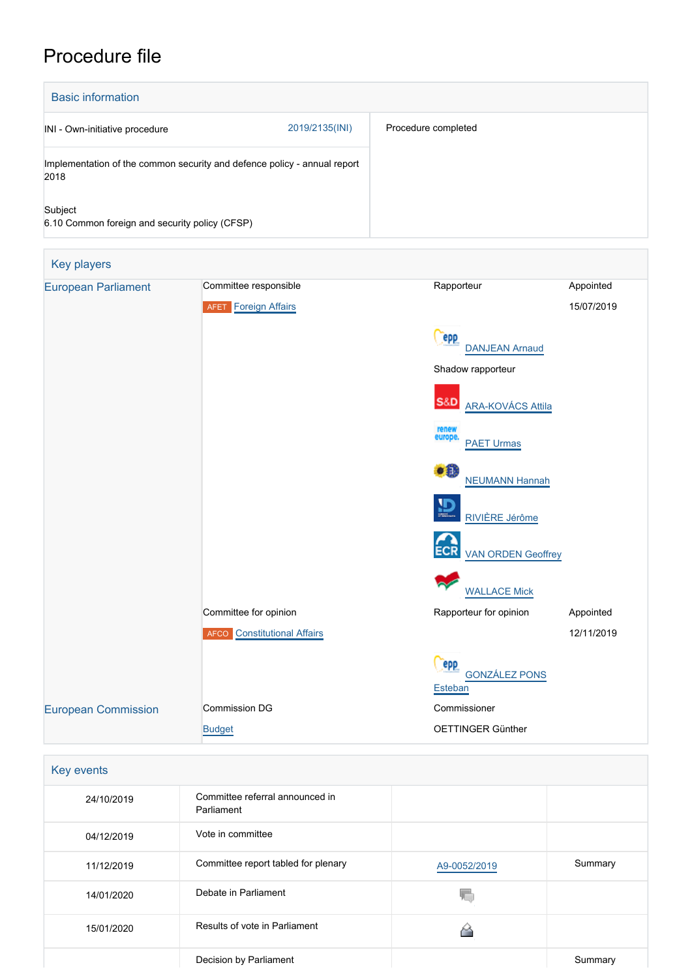# Procedure file

| <b>Basic information</b>                                                         |                |                     |
|----------------------------------------------------------------------------------|----------------|---------------------|
| INI - Own-initiative procedure                                                   | 2019/2135(INI) | Procedure completed |
| Implementation of the common security and defence policy - annual report<br>2018 |                |                     |
| Subject<br>6.10 Common foreign and security policy (CFSP)                        |                |                     |

| <b>Key players</b>         |                                    |                                            |            |
|----------------------------|------------------------------------|--------------------------------------------|------------|
| <b>European Parliament</b> | Committee responsible              | Rapporteur                                 | Appointed  |
|                            | <b>AFET</b> Foreign Affairs        |                                            | 15/07/2019 |
|                            |                                    | epp<br><b>DANJEAN Arnaud</b>               |            |
|                            |                                    | Shadow rapporteur                          |            |
|                            |                                    | <b>S&amp;D</b><br><b>ARA-KOVÁCS Attila</b> |            |
|                            |                                    | renew<br>europe.<br><b>PAET Urmas</b>      |            |
|                            |                                    | $\bullet$<br><b>NEUMANN Hannah</b>         |            |
|                            |                                    | 鹽<br>RIVIÈRE Jérôme                        |            |
|                            |                                    | <b>ECR</b><br><b>VAN ORDEN Geoffrey</b>    |            |
|                            |                                    | <b>WALLACE Mick</b>                        |            |
|                            | Committee for opinion              | Rapporteur for opinion                     | Appointed  |
|                            | <b>AFCO</b> Constitutional Affairs |                                            | 12/11/2019 |
|                            |                                    | epp<br><b>GONZÁLEZ PONS</b><br>Esteban     |            |
| <b>European Commission</b> | <b>Commission DG</b>               | Commissioner                               |            |
|                            | <b>Budget</b>                      | OETTINGER Günther                          |            |

| Key events |                                               |              |         |
|------------|-----------------------------------------------|--------------|---------|
| 24/10/2019 | Committee referral announced in<br>Parliament |              |         |
| 04/12/2019 | Vote in committee                             |              |         |
| 11/12/2019 | Committee report tabled for plenary           | A9-0052/2019 | Summary |
| 14/01/2020 | Debate in Parliament                          |              |         |
| 15/01/2020 | Results of vote in Parliament                 |              |         |
|            | Decision by Parliament                        |              | Summary |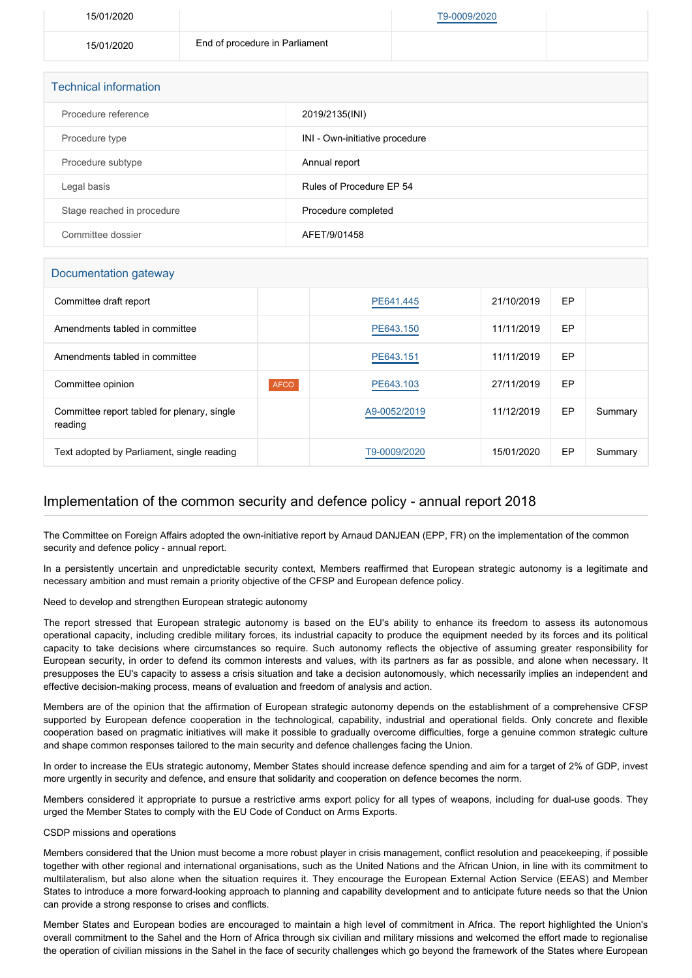| 15/01/2020 |                                | T9-0009/2020 |  |
|------------|--------------------------------|--------------|--|
| 15/01/2020 | End of procedure in Parliament |              |  |
|            |                                |              |  |

| <b>Technical information</b> |                                |  |
|------------------------------|--------------------------------|--|
| Procedure reference          | 2019/2135(INI)                 |  |
| Procedure type               | INI - Own-initiative procedure |  |
| Procedure subtype            | Annual report                  |  |
| Legal basis                  | Rules of Procedure EP 54       |  |
| Stage reached in procedure   | Procedure completed            |  |
| Committee dossier            | AFET/9/01458                   |  |

## Documentation gateway Committee draft report [PE641.445](https://www.europarl.europa.eu/doceo/document/AFET-PR-641445_EN.html) 21/10/2019 EP Amendments tabled in committee **[PE643.150](https://www.europarl.europa.eu/doceo/document/AFET-AM-643150_EN.html)** PE643.150 11/11/2019 EP Amendments tabled in committee **[PE643.151](https://www.europarl.europa.eu/doceo/document/AFET-AM-643151_EN.html)** PE643.151 11/11/2019 EP Committee opinion **AFCO AFCO [PE643.103](https://www.europarl.europa.eu/doceo/document/AFCO-AD-643103_EN.html)** 27/11/2019 EP Committee report tabled for plenary, single reading [A9-0052/2019](https://www.europarl.europa.eu/doceo/document/A-9-2019-0052_EN.html) 11/12/2019 EP Summary Text adopted by Parliament, single reading [T9-0009/2020](https://www.europarl.europa.eu/doceo/document/TA-9-2020-0009_EN.html) 15/01/2020 EP Summary

## Implementation of the common security and defence policy - annual report 2018

The Committee on Foreign Affairs adopted the own-initiative report by Arnaud DANJEAN (EPP, FR) on the implementation of the common security and defence policy - annual report.

In a persistently uncertain and unpredictable security context, Members reaffirmed that European strategic autonomy is a legitimate and necessary ambition and must remain a priority objective of the CFSP and European defence policy.

Need to develop and strengthen European strategic autonomy

The report stressed that European strategic autonomy is based on the EU's ability to enhance its freedom to assess its autonomous operational capacity, including credible military forces, its industrial capacity to produce the equipment needed by its forces and its political capacity to take decisions where circumstances so require. Such autonomy reflects the objective of assuming greater responsibility for European security, in order to defend its common interests and values, with its partners as far as possible, and alone when necessary. It presupposes the EU's capacity to assess a crisis situation and take a decision autonomously, which necessarily implies an independent and effective decision-making process, means of evaluation and freedom of analysis and action.

Members are of the opinion that the affirmation of European strategic autonomy depends on the establishment of a comprehensive CFSP supported by European defence cooperation in the technological, capability, industrial and operational fields. Only concrete and flexible cooperation based on pragmatic initiatives will make it possible to gradually overcome difficulties, forge a genuine common strategic culture and shape common responses tailored to the main security and defence challenges facing the Union.

In order to increase the EUs strategic autonomy, Member States should increase defence spending and aim for a target of 2% of GDP, invest more urgently in security and defence, and ensure that solidarity and cooperation on defence becomes the norm.

Members considered it appropriate to pursue a restrictive arms export policy for all types of weapons, including for dual-use goods. They urged the Member States to comply with the EU Code of Conduct on Arms Exports.

## CSDP missions and operations

Members considered that the Union must become a more robust player in crisis management, conflict resolution and peacekeeping, if possible together with other regional and international organisations, such as the United Nations and the African Union, in line with its commitment to multilateralism, but also alone when the situation requires it. They encourage the European External Action Service (EEAS) and Member States to introduce a more forward-looking approach to planning and capability development and to anticipate future needs so that the Union can provide a strong response to crises and conflicts.

Member States and European bodies are encouraged to maintain a high level of commitment in Africa. The report highlighted the Union's overall commitment to the Sahel and the Horn of Africa through six civilian and military missions and welcomed the effort made to regionalise the operation of civilian missions in the Sahel in the face of security challenges which go beyond the framework of the States where European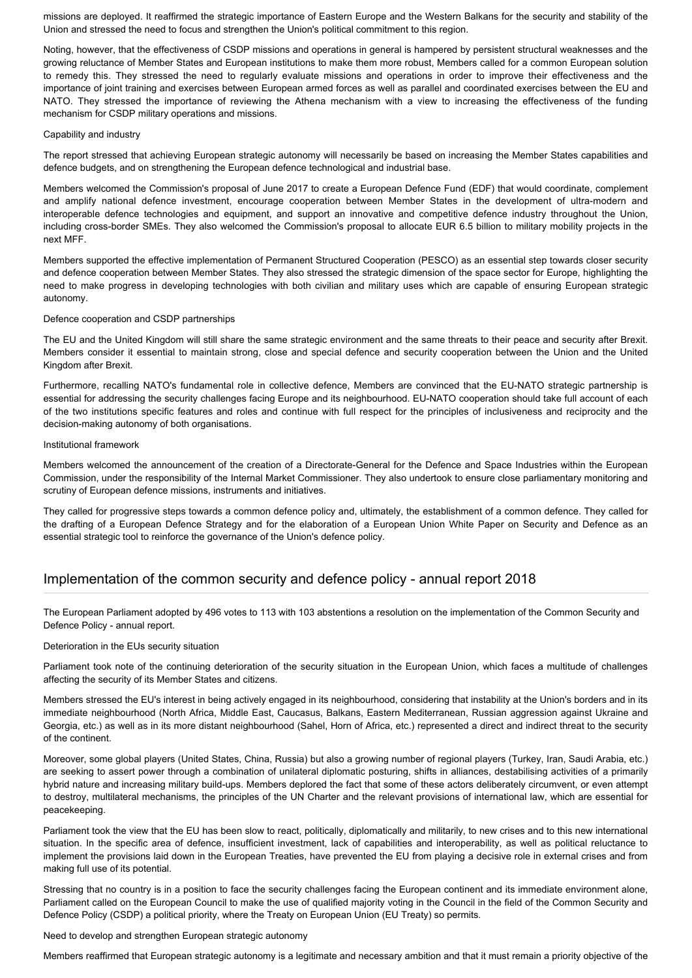missions are deployed. It reaffirmed the strategic importance of Eastern Europe and the Western Balkans for the security and stability of the Union and stressed the need to focus and strengthen the Union's political commitment to this region.

Noting, however, that the effectiveness of CSDP missions and operations in general is hampered by persistent structural weaknesses and the growing reluctance of Member States and European institutions to make them more robust, Members called for a common European solution to remedy this. They stressed the need to regularly evaluate missions and operations in order to improve their effectiveness and the importance of joint training and exercises between European armed forces as well as parallel and coordinated exercises between the EU and NATO. They stressed the importance of reviewing the Athena mechanism with a view to increasing the effectiveness of the funding mechanism for CSDP military operations and missions.

## Capability and industry

The report stressed that achieving European strategic autonomy will necessarily be based on increasing the Member States capabilities and defence budgets, and on strengthening the European defence technological and industrial base.

Members welcomed the Commission's proposal of June 2017 to create a European Defence Fund (EDF) that would coordinate, complement and amplify national defence investment, encourage cooperation between Member States in the development of ultra-modern and interoperable defence technologies and equipment, and support an innovative and competitive defence industry throughout the Union, including cross-border SMEs. They also welcomed the Commission's proposal to allocate EUR 6.5 billion to military mobility projects in the next MFF.

Members supported the effective implementation of Permanent Structured Cooperation (PESCO) as an essential step towards closer security and defence cooperation between Member States. They also stressed the strategic dimension of the space sector for Europe, highlighting the need to make progress in developing technologies with both civilian and military uses which are capable of ensuring European strategic autonomy.

## Defence cooperation and CSDP partnerships

The EU and the United Kingdom will still share the same strategic environment and the same threats to their peace and security after Brexit. Members consider it essential to maintain strong, close and special defence and security cooperation between the Union and the United Kingdom after Brexit.

Furthermore, recalling NATO's fundamental role in collective defence, Members are convinced that the EU-NATO strategic partnership is essential for addressing the security challenges facing Europe and its neighbourhood. EU-NATO cooperation should take full account of each of the two institutions specific features and roles and continue with full respect for the principles of inclusiveness and reciprocity and the decision-making autonomy of both organisations.

### Institutional framework

Members welcomed the announcement of the creation of a Directorate-General for the Defence and Space Industries within the European Commission, under the responsibility of the Internal Market Commissioner. They also undertook to ensure close parliamentary monitoring and scrutiny of European defence missions, instruments and initiatives.

They called for progressive steps towards a common defence policy and, ultimately, the establishment of a common defence. They called for the drafting of a European Defence Strategy and for the elaboration of a European Union White Paper on Security and Defence as an essential strategic tool to reinforce the governance of the Union's defence policy.

## Implementation of the common security and defence policy - annual report 2018

The European Parliament adopted by 496 votes to 113 with 103 abstentions a resolution on the implementation of the Common Security and Defence Policy - annual report.

## Deterioration in the EUs security situation

Parliament took note of the continuing deterioration of the security situation in the European Union, which faces a multitude of challenges affecting the security of its Member States and citizens.

Members stressed the EU's interest in being actively engaged in its neighbourhood, considering that instability at the Union's borders and in its immediate neighbourhood (North Africa, Middle East, Caucasus, Balkans, Eastern Mediterranean, Russian aggression against Ukraine and Georgia, etc.) as well as in its more distant neighbourhood (Sahel, Horn of Africa, etc.) represented a direct and indirect threat to the security of the continent.

Moreover, some global players (United States, China, Russia) but also a growing number of regional players (Turkey, Iran, Saudi Arabia, etc.) are seeking to assert power through a combination of unilateral diplomatic posturing, shifts in alliances, destabilising activities of a primarily hybrid nature and increasing military build-ups. Members deplored the fact that some of these actors deliberately circumvent, or even attempt to destroy, multilateral mechanisms, the principles of the UN Charter and the relevant provisions of international law, which are essential for peacekeeping.

Parliament took the view that the EU has been slow to react, politically, diplomatically and militarily, to new crises and to this new international situation. In the specific area of defence, insufficient investment, lack of capabilities and interoperability, as well as political reluctance to implement the provisions laid down in the European Treaties, have prevented the EU from playing a decisive role in external crises and from making full use of its potential.

Stressing that no country is in a position to face the security challenges facing the European continent and its immediate environment alone, Parliament called on the European Council to make the use of qualified majority voting in the Council in the field of the Common Security and Defence Policy (CSDP) a political priority, where the Treaty on European Union (EU Treaty) so permits.

Need to develop and strengthen European strategic autonomy

Members reaffirmed that European strategic autonomy is a legitimate and necessary ambition and that it must remain a priority objective of the